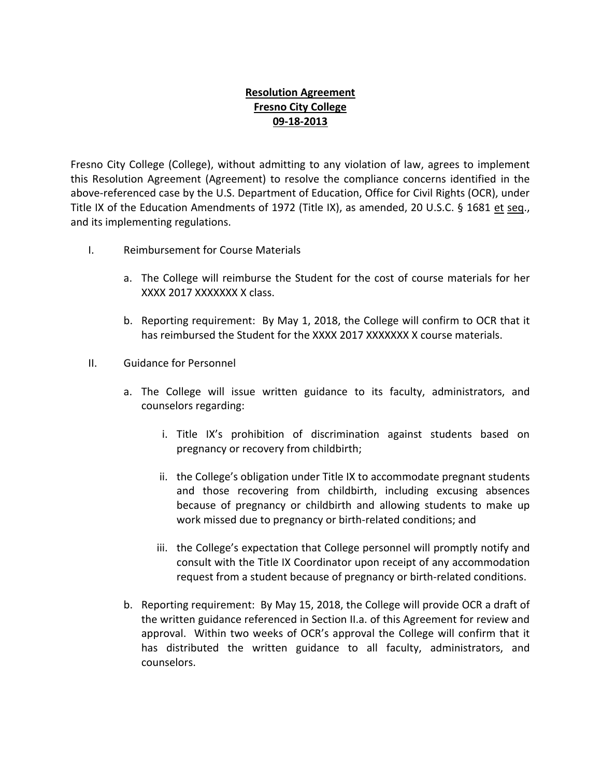## **Resolution Agreement Fresno City College 09-18-2013**

Fresno City College (College), without admitting to any violation of law, agrees to implement this Resolution Agreement (Agreement) to resolve the compliance concerns identified in the above-referenced case by the U.S. Department of Education, Office for Civil Rights (OCR), under Title IX of the Education Amendments of 1972 (Title IX), as amended, 20 U.S.C. § 1681 et seq., and its implementing regulations.

- I. Reimbursement for Course Materials
	- a. The College will reimburse the Student for the cost of course materials for her XXXX 2017 XXXXXXX X class.
	- b. Reporting requirement: By May 1, 2018, the College will confirm to OCR that it has reimbursed the Student for the XXXX 2017 XXXXXXX X course materials.
- II. Guidance for Personnel
	- a. The College will issue written guidance to its faculty, administrators, and counselors regarding:
		- i. Title IX's prohibition of discrimination against students based on pregnancy or recovery from childbirth;
		- ii. the College's obligation under Title IX to accommodate pregnant students and those recovering from childbirth, including excusing absences because of pregnancy or childbirth and allowing students to make up work missed due to pregnancy or birth-related conditions; and
		- iii. the College's expectation that College personnel will promptly notify and consult with the Title IX Coordinator upon receipt of any accommodation request from a student because of pregnancy or birth-related conditions.
	- b. Reporting requirement: By May 15, 2018, the College will provide OCR a draft of the written guidance referenced in Section II.a. of this Agreement for review and approval. Within two weeks of OCR's approval the College will confirm that it has distributed the written guidance to all faculty, administrators, and counselors.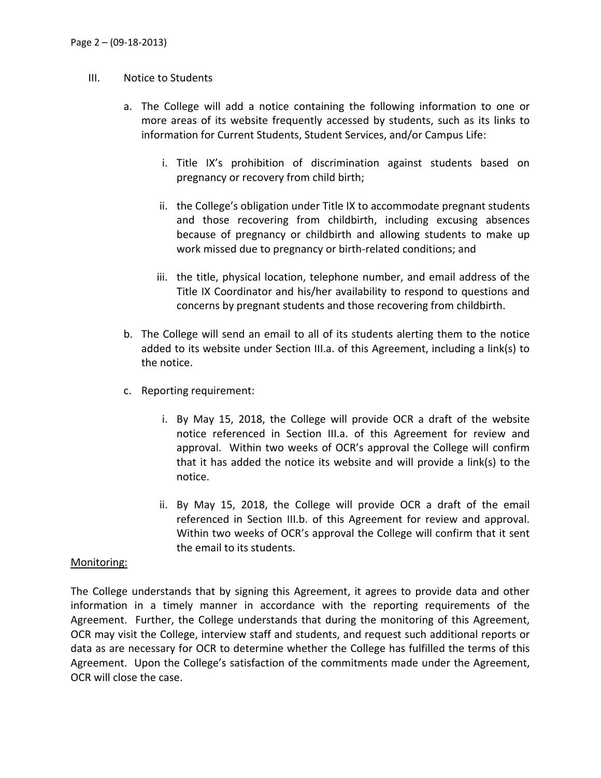## III. Notice to Students

- a. The College will add a notice containing the following information to one or more areas of its website frequently accessed by students, such as its links to information for Current Students, Student Services, and/or Campus Life:
	- i. Title IX's prohibition of discrimination against students based on pregnancy or recovery from child birth;
	- ii. the College's obligation under Title IX to accommodate pregnant students and those recovering from childbirth, including excusing absences because of pregnancy or childbirth and allowing students to make up work missed due to pregnancy or birth-related conditions; and
	- iii. the title, physical location, telephone number, and email address of the Title IX Coordinator and his/her availability to respond to questions and concerns by pregnant students and those recovering from childbirth.
- b. The College will send an email to all of its students alerting them to the notice added to its website under Section III.a. of this Agreement, including a link(s) to the notice.
- c. Reporting requirement:
	- i. By May 15, 2018, the College will provide OCR a draft of the website notice referenced in Section III.a. of this Agreement for review and approval. Within two weeks of OCR's approval the College will confirm that it has added the notice its website and will provide a link(s) to the notice.
	- ii. By May 15, 2018, the College will provide OCR a draft of the email referenced in Section III.b. of this Agreement for review and approval. Within two weeks of OCR's approval the College will confirm that it sent the email to its students.

## Monitoring:

The College understands that by signing this Agreement, it agrees to provide data and other information in a timely manner in accordance with the reporting requirements of the Agreement. Further, the College understands that during the monitoring of this Agreement, OCR may visit the College, interview staff and students, and request such additional reports or data as are necessary for OCR to determine whether the College has fulfilled the terms of this Agreement. Upon the College's satisfaction of the commitments made under the Agreement, OCR will close the case.